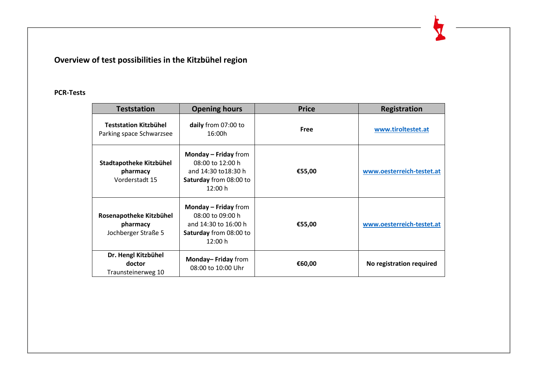## **Overview of test possibilities in the Kitzbühel region**

## **PCR-Tests**

| <b>Teststation</b>                                         | <b>Opening hours</b>                                                                                           | <b>Price</b> | <b>Registration</b>       |
|------------------------------------------------------------|----------------------------------------------------------------------------------------------------------------|--------------|---------------------------|
| <b>Teststation Kitzbühel</b><br>Parking space Schwarzsee   | daily from 07:00 to<br>16:00h                                                                                  | <b>Free</b>  | www.tiroltestet.at        |
| Stadtapotheke Kitzbühel<br>pharmacy<br>Vorderstadt 15      | <b>Monday - Friday from</b><br>08:00 to 12:00 h<br>and 14:30 to 18:30 h<br>Saturday from 08:00 to<br>12:00 h   | €55,00       | www.oesterreich-testet.at |
| Rosenapotheke Kitzbühel<br>pharmacy<br>Jochberger Straße 5 | Monday $-$ Friday from<br>08:00 to 09:00 h<br>and 14:30 to 16:00 h<br><b>Saturday</b> from 08:00 to<br>12:00 h | €55,00       | www.oesterreich-testet.at |
| Dr. Hengl Kitzbühel<br>doctor<br>Traunsteinerweg 10        | Monday-Friday from<br>08:00 to 10:00 Uhr                                                                       | €60,00       | No registration required  |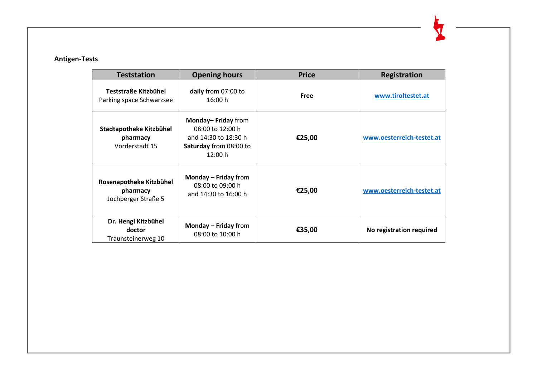## **Antigen-Tests**

| <b>Teststation</b>                                         | <b>Opening hours</b>                                                                                | <b>Price</b> | <b>Registration</b>       |
|------------------------------------------------------------|-----------------------------------------------------------------------------------------------------|--------------|---------------------------|
| Teststraße Kitzbühel<br>Parking space Schwarzsee           | daily from 07:00 to<br>16:00 h                                                                      | <b>Free</b>  | www.tiroltestet.at        |
| Stadtapotheke Kitzbühel<br>pharmacy<br>Vorderstadt 15      | Monday-Friday from<br>08:00 to 12:00 h<br>and 14:30 to 18:30 h<br>Saturday from 08:00 to<br>12:00 h | €25,00       | www.oesterreich-testet.at |
| Rosenapotheke Kitzbühel<br>pharmacy<br>Jochberger Straße 5 | <b>Monday – Friday</b> from<br>08:00 to 09:00 h<br>and 14:30 to 16:00 h                             | €25,00       | www.oesterreich-testet.at |
| Dr. Hengl Kitzbühel<br>doctor<br>Traunsteinerweg 10        | <b>Monday – Friday</b> from<br>08:00 to 10:00 h                                                     | €35,00       | No registration required  |